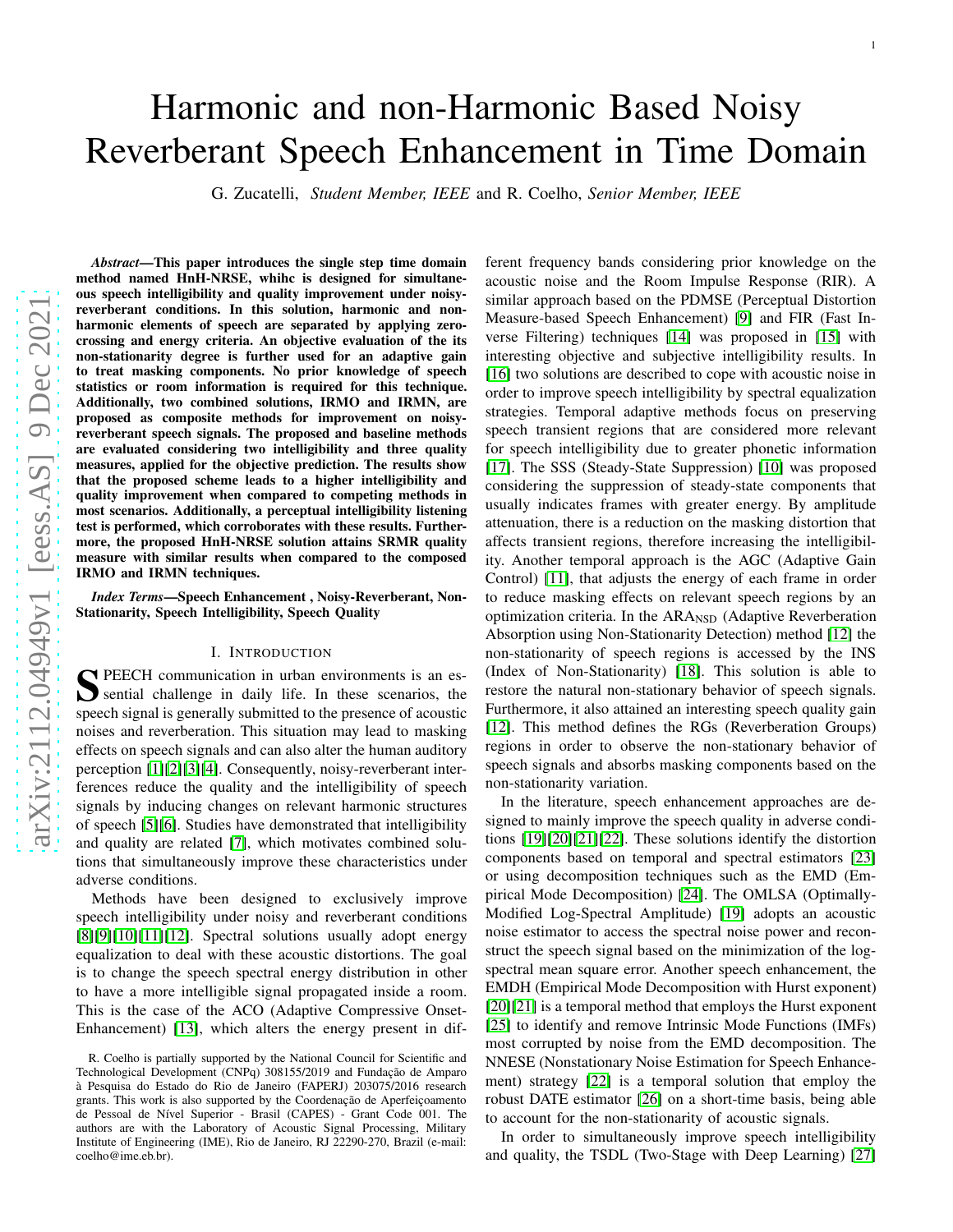# arXiv:2112.04949v1 [eess.AS] 9 Dec 2021 [arXiv:2112.04949v1 \[eess.AS\] 9 Dec 2021](http://arxiv.org/abs/2112.04949v1)

# Harmonic and non-Harmonic Based Noisy Reverberant Speech Enhancement in Time Domain

G. Zucatelli, *Student Member, IEEE* and R. Coelho, *Senior Member, IEEE*

*Abstract*—This paper introduces the single step time domain method named HnH-NRSE, whihc is designed for simultaneous speech intelligibility and quality improvement under noisyreverberant conditions. In this solution, harmonic and nonharmonic elements of speech are separated by applying zerocrossing and energy criteria. An objective evaluation of the its non-stationarity degree is further used for an adaptive gai n to treat masking components. No prior knowledge of speech statistics or room information is required for this technique. Additionally, two combined solutions, IRMO and IRMN, are proposed as composite methods for improvement on noisyreverberant speech signals. The proposed and baseline methods are evaluated considering two intelligibility and three quality measures, applied for the objective prediction. The results show that the proposed scheme leads to a higher intelligibility and quality improvement when compared to competing methods in most scenarios. Additionally, a perceptual intelligibility listening test is performed, which corroborates with these results. Furthermore, the proposed HnH-NRSE solution attains SRMR quality measure with similar results when compared to the composed IRMO and IRMN techniques.

*Index Terms*—Speech Enhancement , Noisy-Reverberant, Non-Stationarity, Speech Intelligibility, Speech Quality

# I. INTRODUCTION

S PEECH communication in urban environments is an essential challenge in daily life. In these scenarios, the sential challenge in daily life. In these scenarios, the speech signal is generally submitted to the presence of acoustic noises and reverberation. This situation may lead to maskin g effects on speech signals and can also alter the human auditory perception [\[1\]](#page-8-0)[\[2\]](#page-8-1)[\[3\]](#page-8-2)[\[4\]](#page-8-3). Consequently, noisy-reverberant interferences reduce the quality and the intelligibility of speech signals by inducing changes on relevant harmonic structure s of speech [\[5\]](#page-8-4)[\[6\]](#page-8-5). Studies have demonstrated that intelligibility and quality are related [\[7\]](#page-8-6), which motivates combined solutions that simultaneously improve these characteristics under adverse conditions.

Methods have been designed to exclusively improve speech intelligibility under noisy and reverberant conditions  $[8][9][10][11][12]$  $[8][9][10][11][12]$  $[8][9][10][11][12]$  $[8][9][10][11][12]$  $[8][9][10][11][12]$ . Spectral solutions usually adopt energy equalization to deal with these acoustic distortions. The goal is to change the speech spectral energy distribution in othe r to have a more intelligible signal propagated inside a room. This is the case of the ACO (Adaptive Compressive Onset-Enhancement) [\[13\]](#page-8-12), which alters the energy present in different frequency bands considering prior knowledge on the acoustic noise and the Room Impulse Response (RIR). A similar approach based on the PDMSE (Perceptual Distortion Measure-based Speech Enhancement) [\[9\]](#page-8-8) and FIR (Fast Inverse Filtering) techniques [\[14\]](#page-8-13) was proposed in [\[15\]](#page-8-14) with interesting objective and subjective intelligibility results. In [\[16\]](#page-8-15) two solutions are described to cope with acoustic noise in order to improve speech intelligibility by spectral equalization strategies. Temporal adaptive methods focus on preserving speech transient regions that are considered more relevant for speech intelligibility due to greater phonetic information [\[17\]](#page-8-16). The SSS (Steady-State Suppression) [\[10\]](#page-8-9) was proposed considering the suppression of steady-state components that usually indicates frames with greater energy. By amplitude attenuation, there is a reduction on the masking distortion that affects transient regions, therefore increasing the intelligibility. Another temporal approach is the AGC (Adaptive Gain Control) [\[11\]](#page-8-10), that adjusts the energy of each frame in order to reduce masking effects on relevant speech regions by an optimization criteria. In the ARA<sub>NSD</sub> (Adaptive Reverberation Absorption using Non-Stationarity Detection) method [\[12\]](#page-8-11) the non-stationarity of speech regions is accessed by the INS (Index of Non-Stationarity) [\[18\]](#page-8-17). This solution is able to restore the natural non-stationary behavior of speech signals. Furthermore, it also attained an interesting speech quality gain [\[12\]](#page-8-11). This method defines the RGs (Reverberation Groups) regions in order to observe the non-stationary behavior of speech signals and absorbs masking components based on the non-stationarity variation.

1

In the literature, speech enhancement approaches are designed to mainly improve the speech quality in adverse conditions [\[19\]](#page-8-18)[\[20\]](#page-8-19)[\[21\]](#page-8-20)[\[22\]](#page-8-21). These solutions identify the distortion components based on temporal and spectral estimators [\[23\]](#page-8-22) or using decomposition techniques such as the EMD (Empirical Mode Decomposition) [\[24\]](#page-8-23). The OMLSA (Optimally-Modified Log-Spectral Amplitude) [\[19\]](#page-8-18) adopts an acoustic noise estimator to access the spectral noise power and recon struct the speech signal based on the minimization of the log spectral mean square error. Another speech enhancement, the EMDH (Empirical Mode Decomposition with Hurst exponent) [\[20\]](#page-8-19)[\[21\]](#page-8-20) is a temporal method that employs the Hurst exponent [\[25\]](#page-8-24) to identify and remove Intrinsic Mode Functions (IMFs) most corrupted by noise from the EMD decomposition. The NNESE (Nonstationary Noise Estimation for Speech Enhancement) strategy [\[22\]](#page-8-21) is a temporal solution that employ the robust DATE estimator [\[26\]](#page-8-25) on a short-time basis, being able to account for the non-stationarity of acoustic signals.

In order to simultaneously improve speech intelligibility and quality, the TSDL (Two-Stage with Deep Learning) [\[27\]](#page-8-26)

R. Coelho is partially supported by the National Council for Scientific and Technological Development (CNPq) 308155/2019 and Fundação de Amparo à Pesquisa do Estado do Rio de Janeiro (FAPERJ) 203075/2016 research grants. This work is also supported by the Coordenação de Aperfeiçoamento de Pessoal de Nível Superior - Brasil (CAPES) - Grant Code 001. The authors are with the Laboratory of Acoustic Signal Processing, Military Institute of Engineering (IME), Rio de Janeiro, RJ 22290-270, Brazil (e-mail: coelho@ime.eb.br).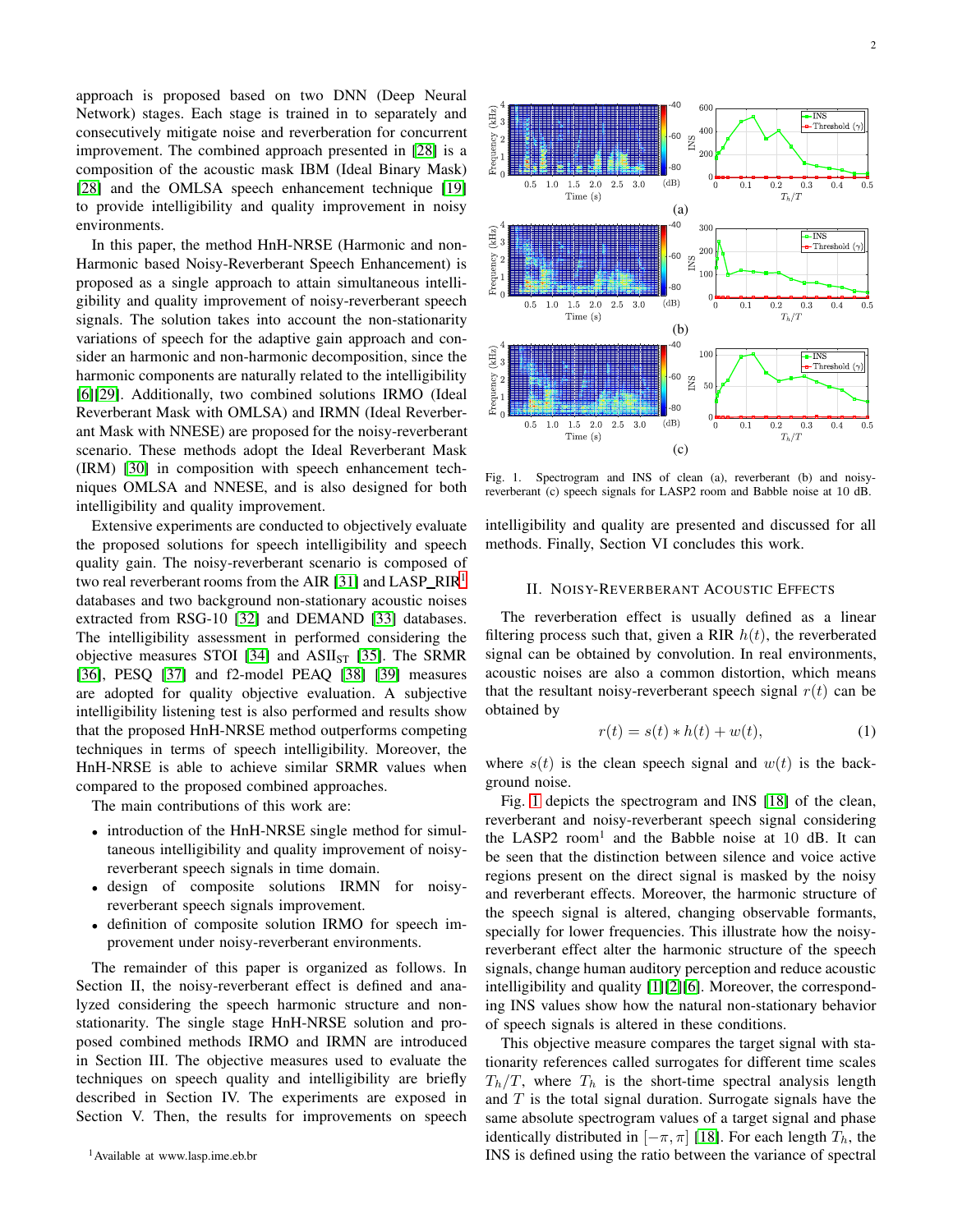approach is proposed based on two DNN (Deep Neural Network) stages. Each stage is trained in to separately and consecutively mitigate noise and reverberation for concurrent improvement. The combined approach presented in [\[28\]](#page-8-27) is a composition of the acoustic mask IBM (Ideal Binary Mask) [\[28\]](#page-8-27) and the OMLSA speech enhancement technique [\[19\]](#page-8-18) to provide intelligibility and quality improvement in noisy environments.

In this paper, the method HnH-NRSE (Harmonic and non-Harmonic based Noisy-Reverberant Speech Enhancement) is proposed as a single approach to attain simultaneous intelligibility and quality improvement of noisy-reverberant speech signals. The solution takes into account the non-stationarity variations of speech for the adaptive gain approach and consider an harmonic and non-harmonic decomposition, since the harmonic components are naturally related to the intelligibility [\[6\]](#page-8-5)[\[29\]](#page-8-28). Additionally, two combined solutions IRMO (Ideal Reverberant Mask with OMLSA) and IRMN (Ideal Reverberant Mask with NNESE) are proposed for the noisy-reverberant scenario. These methods adopt the Ideal Reverberant Mask (IRM) [\[30\]](#page-8-29) in composition with speech enhancement techniques OMLSA and NNESE, and is also designed for both intelligibility and quality improvement.

Extensive experiments are conducted to objectively evaluate the proposed solutions for speech intelligibility and speech quality gain. The noisy-reverberant scenario is composed of two real reverberant rooms from the AIR [\[31\]](#page-8-30) and  $LAB_RIR<sup>1</sup>$  $LAB_RIR<sup>1</sup>$  $LAB_RIR<sup>1</sup>$ databases and two background non-stationary acoustic noises extracted from RSG-10 [\[32\]](#page-8-31) and DEMAND [\[33\]](#page-8-32) databases. The intelligibility assessment in performed considering the objective measures STOI [\[34\]](#page-8-33) and  $ASII<sub>ST</sub>$  [\[35\]](#page-8-34). The SRMR [\[36\]](#page-8-35), PESQ [\[37\]](#page-8-36) and f2-model PEAQ [\[38\]](#page-8-37) [\[39\]](#page-8-38) measures are adopted for quality objective evaluation. A subjective intelligibility listening test is also performed and results show that the proposed HnH-NRSE method outperforms competing techniques in terms of speech intelligibility. Moreover, the HnH-NRSE is able to achieve similar SRMR values when compared to the proposed combined approaches.

The main contributions of this work are:

- introduction of the HnH-NRSE single method for simultaneous intelligibility and quality improvement of noisyreverberant speech signals in time domain.
- design of composite solutions IRMN for noisyreverberant speech signals improvement.
- definition of composite solution IRMO for speech improvement under noisy-reverberant environments.

<span id="page-1-0"></span>The remainder of this paper is organized as follows. In Section II, the noisy-reverberant effect is defined and analyzed considering the speech harmonic structure and nonstationarity. The single stage HnH-NRSE solution and proposed combined methods IRMO and IRMN are introduced in Section III. The objective measures used to evaluate the techniques on speech quality and intelligibility are briefly described in Section IV. The experiments are exposed in Section V. Then, the results for improvements on speech



<span id="page-1-1"></span>Fig. 1. Spectrogram and INS of clean (a), reverberant (b) and noisyreverberant (c) speech signals for LASP2 room and Babble noise at 10 dB.

 $(c)$ 

intelligibility and quality are presented and discussed for all methods. Finally, Section VI concludes this work.

# II. NOISY-REVERBERANT ACOUSTIC EFFECTS

The reverberation effect is usually defined as a linear filtering process such that, given a RIR  $h(t)$ , the reverberated signal can be obtained by convolution. In real environments, acoustic noises are also a common distortion, which means that the resultant noisy-reverberant speech signal  $r(t)$  can be obtained by

$$
r(t) = s(t) * h(t) + w(t),
$$
 (1)

where  $s(t)$  is the clean speech signal and  $w(t)$  is the background noise.

Fig. [1](#page-1-1) depicts the spectrogram and INS [\[18\]](#page-8-17) of the clean, reverberant and noisy-reverberant speech signal considering the LASP2 room<sup>1</sup> and the Babble noise at 10 dB. It can be seen that the distinction between silence and voice active regions present on the direct signal is masked by the noisy and reverberant effects. Moreover, the harmonic structure of the speech signal is altered, changing observable formants, specially for lower frequencies. This illustrate how the noisyreverberant effect alter the harmonic structure of the speech signals, change human auditory perception and reduce acoustic intelligibility and quality [\[1\]](#page-8-0)[\[2\]](#page-8-1)[\[6\]](#page-8-5). Moreover, the corresponding INS values show how the natural non-stationary behavior of speech signals is altered in these conditions.

This objective measure compares the target signal with stationarity references called surrogates for different time scales  $T_h/T$ , where  $T_h$  is the short-time spectral analysis length and  $T$  is the total signal duration. Surrogate signals have the same absolute spectrogram values of a target signal and phase identically distributed in  $[-\pi, \pi]$  [\[18\]](#page-8-17). For each length  $T_h$ , the INS is defined using the ratio between the variance of spectral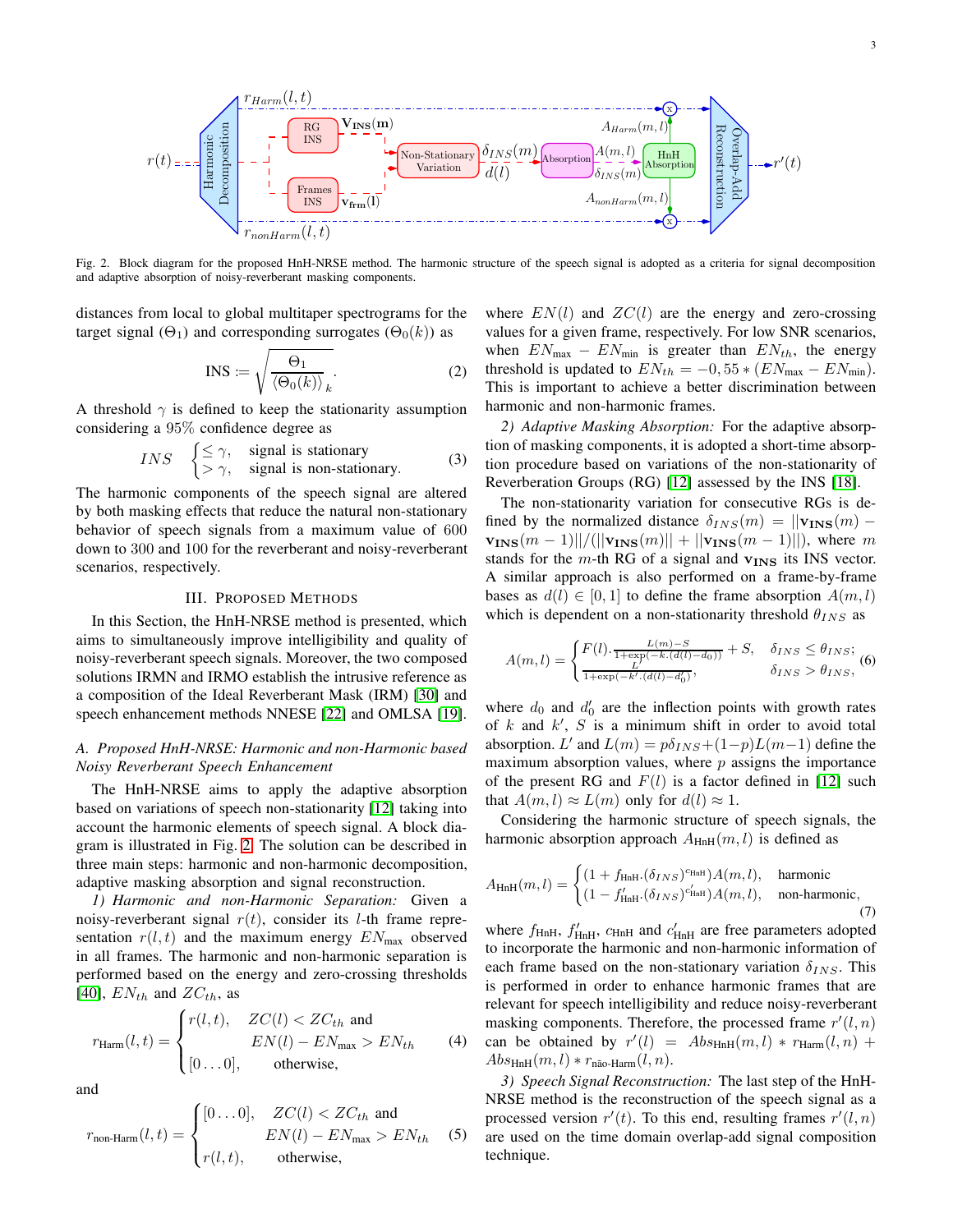

<span id="page-2-0"></span>Fig. 2. Block diagram for the proposed HnH-NRSE method. The harmonic structure of the speech signal is adopted as a criteria for signal decomposition and adaptive absorption of noisy-reverberant masking components.

distances from local to global multitaper spectrograms for the target signal ( $\Theta_1$ ) and corresponding surrogates ( $\Theta_0(k)$ ) as

$$
INS := \sqrt{\frac{\Theta_1}{\langle \Theta_0(k) \rangle_k}}.
$$
 (2)

A threshold  $\gamma$  is defined to keep the stationarity assumption considering a 95% confidence degree as

*INS* 
$$
\begin{cases} \leq \gamma, & \text{signal is stationary} \\ > \gamma, & \text{signal is non-stationary.} \end{cases}
$$
 (3)

The harmonic components of the speech signal are altered by both masking effects that reduce the natural non-stationary behavior of speech signals from a maximum value of 600 down to 300 and 100 for the reverberant and noisy-reverberant scenarios, respectively.

#### III. PROPOSED METHODS

In this Section, the HnH-NRSE method is presented, which aims to simultaneously improve intelligibility and quality of noisy-reverberant speech signals. Moreover, the two composed solutions IRMN and IRMO establish the intrusive reference as a composition of the Ideal Reverberant Mask (IRM) [\[30\]](#page-8-29) and speech enhancement methods NNESE [\[22\]](#page-8-21) and OMLSA [\[19\]](#page-8-18).

# *A. Proposed HnH-NRSE: Harmonic and non-Harmonic based Noisy Reverberant Speech Enhancement*

The HnH-NRSE aims to apply the adaptive absorption based on variations of speech non-stationarity [\[12\]](#page-8-11) taking into account the harmonic elements of speech signal. A block diagram is illustrated in Fig. [2.](#page-2-0) The solution can be described in three main steps: harmonic and non-harmonic decomposition, adaptive masking absorption and signal reconstruction.

*1) Harmonic and non-Harmonic Separation:* Given a noisy-reverberant signal  $r(t)$ , consider its *l*-th frame representation  $r(l, t)$  and the maximum energy  $EN<sub>max</sub>$  observed in all frames. The harmonic and non-harmonic separation is performed based on the energy and zero-crossing thresholds [\[40\]](#page-8-39),  $EN_{th}$  and  $ZC_{th}$ , as

$$
r_{\text{Harm}}(l, t) = \begin{cases} r(l, t), & ZC(l) < ZC_{th} \text{ and} \\ EN(l) - EN_{\text{max}} > EN_{th} \\ [0 \dots 0], & \text{otherwise,} \end{cases} \tag{4}
$$

and

$$
r_{\text{non-Harm}}(l,t) = \begin{cases} [0 \dots 0], & ZC(l) < ZC_{th} \text{ and} \\ EN(l) - EN_{\text{max}} > EN_{th} \\ r(l,t), & \text{otherwise,} \end{cases}
$$
 (5)

where  $EN(l)$  and  $ZC(l)$  are the energy and zero-crossing values for a given frame, respectively. For low SNR scenarios, when  $EN_{\text{max}} - EN_{\text{min}}$  is greater than  $EN_{th}$ , the energy threshold is updated to  $EN_{th} = -0.55 * (EN_{max} - EN_{min}).$ This is important to achieve a better discrimination between harmonic and non-harmonic frames.

*2) Adaptive Masking Absorption:* For the adaptive absorption of masking components, it is adopted a short-time absorption procedure based on variations of the non-stationarity of Reverberation Groups (RG) [\[12\]](#page-8-11) assessed by the INS [\[18\]](#page-8-17).

The non-stationarity variation for consecutive RGs is defined by the normalized distance  $\delta_{INS}(m) = ||\mathbf{v}_{INS}(m)$  $v_{INS}(m-1)||/(||v_{INS}(m)|| + ||v_{INS}(m-1)||)$ , where m stands for the m-th RG of a signal and  $v_{INS}$  its INS vector. A similar approach is also performed on a frame-by-frame bases as  $d(l) \in [0, 1]$  to define the frame absorption  $A(m, l)$ which is dependent on a non-stationarity threshold  $\theta_{INS}$  as

$$
A(m,l) = \begin{cases} F(l) \cdot \frac{L(m)-S}{1+\exp(-k.(d(l)-d_0))} + S, & \delta_{INS} \leq \theta_{INS};\\ \frac{L'}{1+\exp(-k'(d(l)-d_0'))}, & \delta_{INS} > \theta_{INS}, \end{cases}
$$

where  $d_0$  and  $d'_0$  are the inflection points with growth rates of  $k$  and  $k'$ ,  $S$  is a minimum shift in order to avoid total absorption. L' and  $L(m) = p\delta_{INS} + (1-p)L(m-1)$  define the maximum absorption values, where  $p$  assigns the importance of the present RG and  $F(l)$  is a factor defined in [\[12\]](#page-8-11) such that  $A(m, l) \approx L(m)$  only for  $d(l) \approx 1$ .

Considering the harmonic structure of speech signals, the harmonic absorption approach  $A_{\text{HnH}}(m, l)$  is defined as

$$
A_{\text{HnH}}(m,l) = \begin{cases} (1 + f_{\text{HnH}}.(\delta_{INS})^{\text{CHnH}}) A(m,l), & \text{harmonic} \\ (1 - f_{\text{HnH}}'.(\delta_{INS})^{\text{C'fnH}}) A(m,l), & \text{non-harmonic}, \end{cases}
$$
(7)

where  $f_{\text{HnH}}$ ,  $f'_{\text{HnH}}$ ,  $c_{\text{HnH}}$  and  $c'_{\text{HnH}}$  are free parameters adopted to incorporate the harmonic and non-harmonic information of each frame based on the non-stationary variation  $\delta_{INS}$ . This is performed in order to enhance harmonic frames that are relevant for speech intelligibility and reduce noisy-reverberant masking components. Therefore, the processed frame  $r'(l, n)$ can be obtained by  $r'(l) = Abs<sub>HnH</sub>(m, l) * r<sub>Harm</sub>(l, n) +$  $Abs<sub>HH</sub>(m, l) * r<sub>não-Harm</sub>(l, n).$ 

*3) Speech Signal Reconstruction:* The last step of the HnH-NRSE method is the reconstruction of the speech signal as a processed version  $r'(t)$ . To this end, resulting frames  $r'(l,n)$ are used on the time domain overlap-add signal composition technique.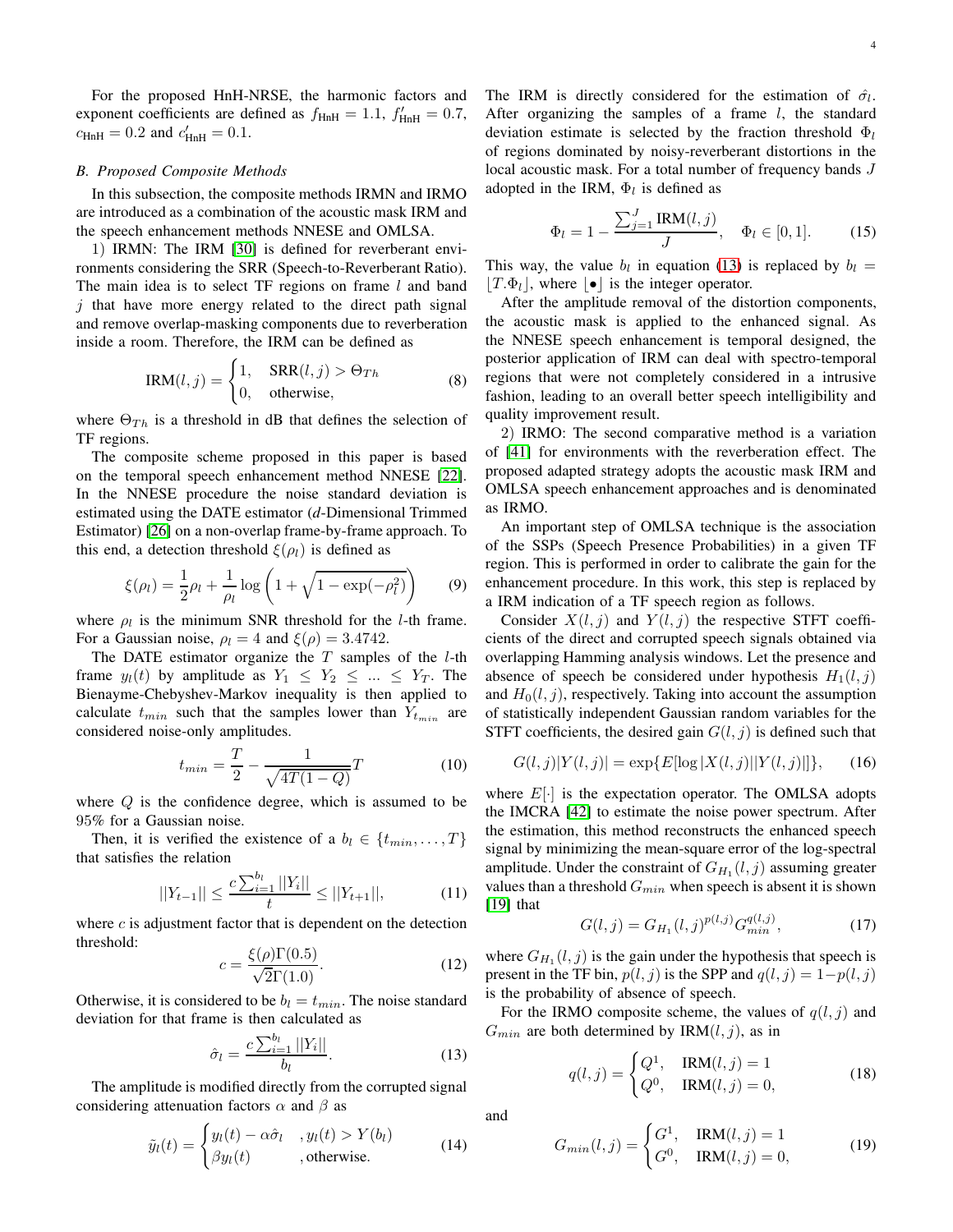For the proposed HnH-NRSE, the harmonic factors and exponent coefficients are defined as  $f_{\text{HnH}} = 1.1$ ,  $f'_{\text{HnH}} = 0.7$ ,  $c_{\text{HnH}} = 0.2$  and  $c'_{\text{HnH}} = 0.1$ .

# *B. Proposed Composite Methods*

In this subsection, the composite methods IRMN and IRMO are introduced as a combination of the acoustic mask IRM and the speech enhancement methods NNESE and OMLSA.

1) IRMN: The IRM [\[30\]](#page-8-29) is defined for reverberant environments considering the SRR (Speech-to-Reverberant Ratio). The main idea is to select TF regions on frame  $l$  and band  $j$  that have more energy related to the direct path signal and remove overlap-masking components due to reverberation inside a room. Therefore, the IRM can be defined as

$$
IRM(l, j) = \begin{cases} 1, & \text{SRR}(l, j) > \Theta_{Th} \\ 0, & \text{otherwise,} \end{cases}
$$
 (8)

where  $\Theta_{Th}$  is a threshold in dB that defines the selection of TF regions.

The composite scheme proposed in this paper is based on the temporal speech enhancement method NNESE [\[22\]](#page-8-21). In the NNESE procedure the noise standard deviation is estimated using the DATE estimator (*d*-Dimensional Trimmed Estimator) [\[26\]](#page-8-25) on a non-overlap frame-by-frame approach. To this end, a detection threshold  $\xi(\rho_l)$  is defined as

$$
\xi(\rho_l) = \frac{1}{2}\rho_l + \frac{1}{\rho_l} \log \left( 1 + \sqrt{1 - \exp(-\rho_l^2)} \right) \tag{9}
$$

where  $\rho_l$  is the minimum SNR threshold for the *l*-th frame. For a Gaussian noise,  $\rho_l = 4$  and  $\xi(\rho) = 3.4742$ .

The DATE estimator organize the  $T$  samples of the  $l$ -th frame  $y_l(t)$  by amplitude as  $Y_1 \leq Y_2 \leq ... \leq Y_T$ . The Bienayme-Chebyshev-Markov inequality is then applied to calculate  $t_{min}$  such that the samples lower than  $Y_{t_{min}}$  are considered noise-only amplitudes.

$$
t_{min} = \frac{T}{2} - \frac{1}{\sqrt{4T(1-Q)}}T
$$
 (10)

where  $Q$  is the confidence degree, which is assumed to be 95% for a Gaussian noise.

Then, it is verified the existence of a  $b_l \in \{t_{min}, \ldots, T\}$ that satisfies the relation

$$
||Y_{t-1}|| \le \frac{c \sum_{i=1}^{b_l} ||Y_i||}{t} \le ||Y_{t+1}||, \tag{11}
$$

where  $c$  is adjustment factor that is dependent on the detection threshold:

$$
c = \frac{\xi(\rho)\Gamma(0.5)}{\sqrt{2}\Gamma(1.0)}.\tag{12}
$$

Otherwise, it is considered to be  $b_l = t_{min}$ . The noise standard deviation for that frame is then calculated as

<span id="page-3-0"></span>
$$
\hat{\sigma}_l = \frac{c \sum_{i=1}^{b_l} ||Y_i||}{b_l}.
$$
\n(13)

The amplitude is modified directly from the corrupted signal considering attenuation factors  $\alpha$  and  $\beta$  as

$$
\tilde{y}_l(t) = \begin{cases} y_l(t) - \alpha \hat{\sigma}_l, & y_l(t) > Y(b_l) \\ \beta y_l(t) & , \text{otherwise.} \end{cases}
$$
\n(14)

The IRM is directly considered for the estimation of  $\hat{\sigma}_l$ . After organizing the samples of a frame  $l$ , the standard deviation estimate is selected by the fraction threshold  $\Phi_l$ of regions dominated by noisy-reverberant distortions in the local acoustic mask. For a total number of frequency bands J adopted in the IRM,  $\Phi_l$  is defined as

$$
\Phi_l = 1 - \frac{\sum_{j=1}^{J} \text{IRM}(l, j)}{J}, \quad \Phi_l \in [0, 1].
$$
 (15)

This way, the value  $b_l$  in equation [\(13\)](#page-3-0) is replaced by  $b_l =$  $|T.\Phi_l|$ , where  $|\bullet|$  is the integer operator.

After the amplitude removal of the distortion components, the acoustic mask is applied to the enhanced signal. As the NNESE speech enhancement is temporal designed, the posterior application of IRM can deal with spectro-temporal regions that were not completely considered in a intrusive fashion, leading to an overall better speech intelligibility and quality improvement result.

2) IRMO: The second comparative method is a variation of [\[41\]](#page-8-40) for environments with the reverberation effect. The proposed adapted strategy adopts the acoustic mask IRM and OMLSA speech enhancement approaches and is denominated as IRMO.

An important step of OMLSA technique is the association of the SSPs (Speech Presence Probabilities) in a given TF region. This is performed in order to calibrate the gain for the enhancement procedure. In this work, this step is replaced by a IRM indication of a TF speech region as follows.

Consider  $X(l, j)$  and  $Y(l, j)$  the respective STFT coefficients of the direct and corrupted speech signals obtained via overlapping Hamming analysis windows. Let the presence and absence of speech be considered under hypothesis  $H_1(l, j)$ and  $H_0(l, j)$ , respectively. Taking into account the assumption of statistically independent Gaussian random variables for the STFT coefficients, the desired gain  $G(l, j)$  is defined such that

$$
G(l,j)|Y(l,j)| = \exp\{E[\log |X(l,j)||Y(l,j)|]\},\qquad(16)
$$

where  $E[\cdot]$  is the expectation operator. The OMLSA adopts the IMCRA [\[42\]](#page-8-41) to estimate the noise power spectrum. After the estimation, this method reconstructs the enhanced speech signal by minimizing the mean-square error of the log-spectral amplitude. Under the constraint of  $G_{H_1}(l,j)$  assuming greater values than a threshold  $G_{min}$  when speech is absent it is shown [\[19\]](#page-8-18) that

$$
G(l,j) = G_{H_1}(l,j)^{p(l,j)} G_{min}^{q(l,j)},
$$
\n(17)

where  $G_{H_1}(l, j)$  is the gain under the hypothesis that speech is present in the TF bin,  $p(l, j)$  is the SPP and  $q(l, j) = 1-p(l, j)$ is the probability of absence of speech.

For the IRMO composite scheme, the values of  $q(l, j)$  and  $G_{min}$  are both determined by IRM $(l, j)$ , as in

$$
q(l,j) = \begin{cases} Q^1, & \text{IRM}(l,j) = 1\\ Q^0, & \text{IRM}(l,j) = 0, \end{cases} \tag{18}
$$

and

$$
G_{min}(l,j) = \begin{cases} G^1, & \text{IRM}(l,j) = 1\\ G^0, & \text{IRM}(l,j) = 0, \end{cases} \tag{19}
$$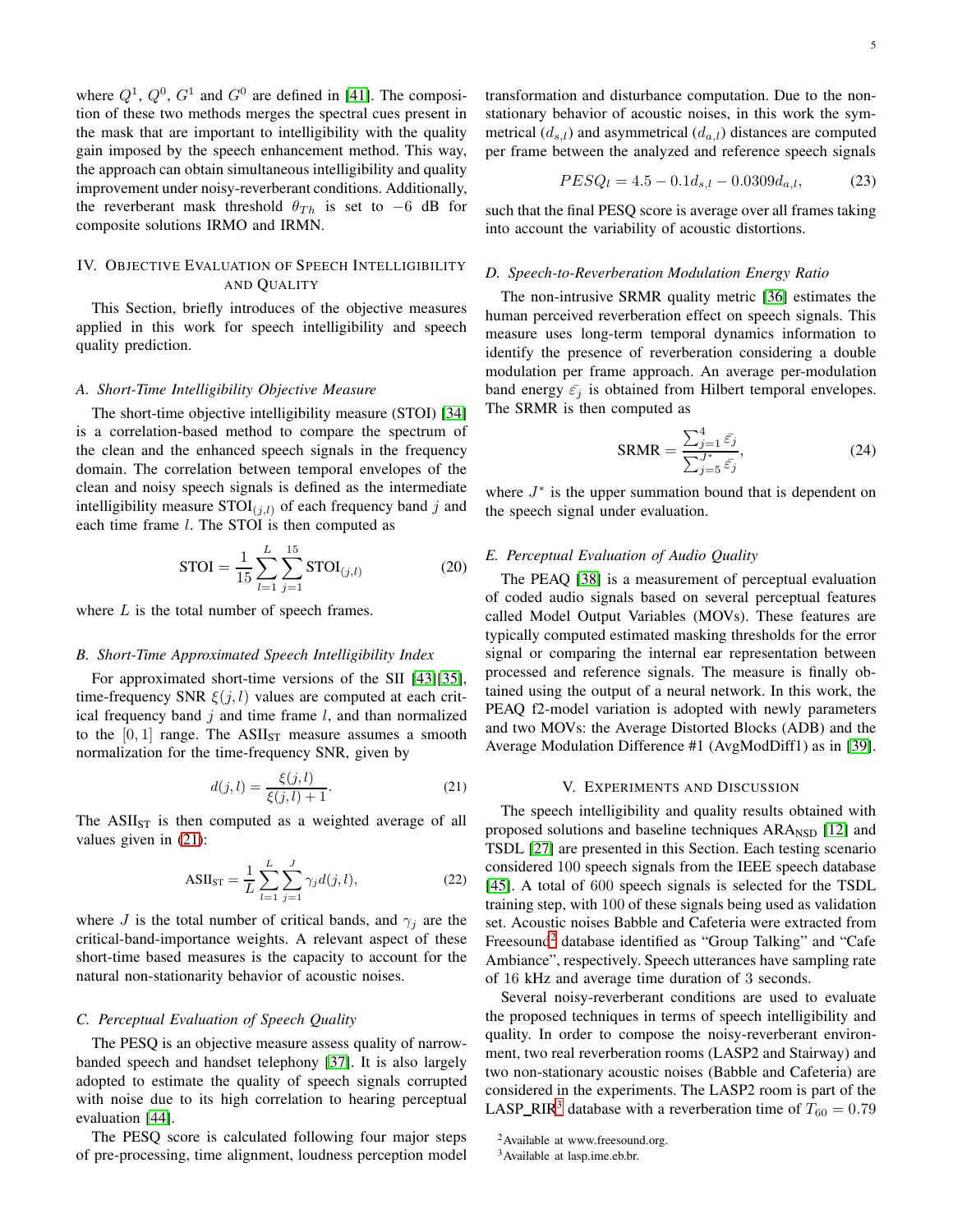where  $Q^1$ ,  $Q^0$ ,  $G^1$  and  $G^0$  are defined in [\[41\]](#page-8-40). The composition of these two methods merges the spectral cues present in the mask that are important to intelligibility with the quality gain imposed by the speech enhancement method. This way, the approach can obtain simultaneous intelligibility and quality improvement under noisy-reverberant conditions. Additionally, the reverberant mask threshold  $\theta_{Th}$  is set to −6 dB for composite solutions IRMO and IRMN.

# IV. OBJECTIVE EVALUATION OF SPEECH INTELLIGIBILITY AND QUALITY

This Section, briefly introduces of the objective measures applied in this work for speech intelligibility and speech quality prediction.

#### *A. Short-Time Intelligibility Objective Measure*

The short-time objective intelligibility measure (STOI) [\[34\]](#page-8-33) is a correlation-based method to compare the spectrum of the clean and the enhanced speech signals in the frequency domain. The correlation between temporal envelopes of the clean and noisy speech signals is defined as the intermediate intelligibility measure  $STOI_{(i,l)}$  of each frequency band j and each time frame  $l$ . The STOI is then computed as

$$
STOI = \frac{1}{15} \sum_{l=1}^{L} \sum_{j=1}^{15} STOI_{(j,l)}
$$
 (20)

where  $L$  is the total number of speech frames.

#### *B. Short-Time Approximated Speech Intelligibility Index*

For approximated short-time versions of the SII [\[43\]](#page-8-42)[\[35\]](#page-8-34), time-frequency SNR  $\xi(j, l)$  values are computed at each critical frequency band  $j$  and time frame  $l$ , and than normalized to the  $[0, 1]$  range. The ASII<sub>ST</sub> measure assumes a smooth normalization for the time-frequency SNR, given by

<span id="page-4-0"></span>
$$
d(j,l) = \frac{\xi(j,l)}{\xi(j,l) + 1}.
$$
 (21)

The  $ASII<sub>ST</sub>$  is then computed as a weighted average of all values given in [\(21\)](#page-4-0):

$$
ASII_{ST} = \frac{1}{L} \sum_{l=1}^{L} \sum_{j=1}^{J} \gamma_j d(j, l),
$$
 (22)

where J is the total number of critical bands, and  $\gamma_i$  are the critical-band-importance weights. A relevant aspect of these short-time based measures is the capacity to account for the natural non-stationarity behavior of acoustic noises.

# *C. Perceptual Evaluation of Speech Quality*

The PESQ is an objective measure assess quality of narrowbanded speech and handset telephony [\[37\]](#page-8-36). It is also largely adopted to estimate the quality of speech signals corrupted with noise due to its high correlation to hearing perceptual evaluation [\[44\]](#page-8-43).

The PESQ score is calculated following four major steps of pre-processing, time alignment, loudness perception model transformation and disturbance computation. Due to the nonstationary behavior of acoustic noises, in this work the symmetrical  $(d_{s,l})$  and asymmetrical  $(d_{a,l})$  distances are computed per frame between the analyzed and reference speech signals

$$
PESQ_l = 4.5 - 0.1d_{s,l} - 0.0309d_{a,l},\tag{23}
$$

such that the final PESQ score is average over all frames taking into account the variability of acoustic distortions.

# *D. Speech-to-Reverberation Modulation Energy Ratio*

The non-intrusive SRMR quality metric [\[36\]](#page-8-35) estimates the human perceived reverberation effect on speech signals. This measure uses long-term temporal dynamics information to identify the presence of reverberation considering a double modulation per frame approach. An average per-modulation band energy  $\bar{\varepsilon}_j$  is obtained from Hilbert temporal envelopes. The SRMR is then computed as

$$
SRMR = \frac{\sum_{j=1}^{4} \bar{\varepsilon}_j}{\sum_{j=5}^{J^*} \bar{\varepsilon}_j},\tag{24}
$$

where  $J^*$  is the upper summation bound that is dependent on the speech signal under evaluation.

# *E. Perceptual Evaluation of Audio Quality*

The PEAQ [\[38\]](#page-8-37) is a measurement of perceptual evaluation of coded audio signals based on several perceptual features called Model Output Variables (MOVs). These features are typically computed estimated masking thresholds for the error signal or comparing the internal ear representation between processed and reference signals. The measure is finally obtained using the output of a neural network. In this work, the PEAQ f2-model variation is adopted with newly parameters and two MOVs: the Average Distorted Blocks (ADB) and the Average Modulation Difference #1 (AvgModDiff1) as in [\[39\]](#page-8-38).

#### V. EXPERIMENTS AND DISCUSSION

The speech intelligibility and quality results obtained with proposed solutions and baseline techniques ARA<sub>NSD</sub> [\[12\]](#page-8-11) and TSDL [\[27\]](#page-8-26) are presented in this Section. Each testing scenario considered 100 speech signals from the IEEE speech database [\[45\]](#page-8-44). A total of 600 speech signals is selected for the TSDL training step, with 100 of these signals being used as validation set. Acoustic noises Babble and Cafeteria were extracted from Freesound<sup>[2](#page-4-1)</sup> database identified as "Group Talking" and "Cafe Ambiance", respectively. Speech utterances have sampling rate of 16 kHz and average time duration of 3 seconds.

Several noisy-reverberant conditions are used to evaluate the proposed techniques in terms of speech intelligibility and quality. In order to compose the noisy-reverberant environment, two real reverberation rooms (LASP2 and Stairway) and two non-stationary acoustic noises (Babble and Cafeteria) are considered in the experiments. The LASP2 room is part of the LASP\_RIR<sup>[3](#page-4-2)</sup> database with a reverberation time of  $T_{60} = 0.79$ 

<sup>&</sup>lt;sup>2</sup>Available at www.freesound.org.

<span id="page-4-2"></span><span id="page-4-1"></span><sup>3</sup>Available at lasp.ime.eb.br.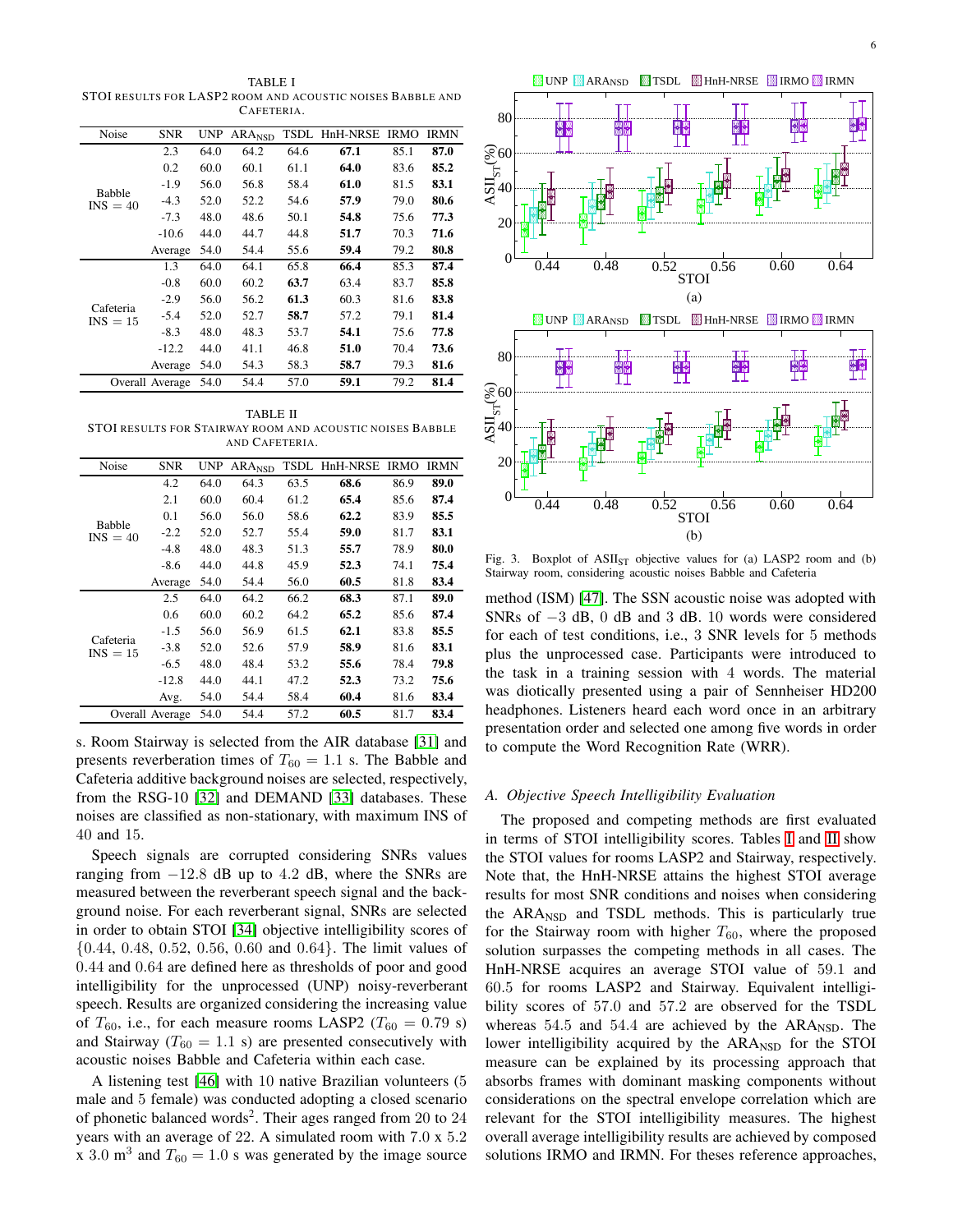<span id="page-5-0"></span>TABLE I STOI RESULTS FOR LASP2 ROOM AND ACOUSTIC NOISES BABBLE AND CAFETERIA.

| Noise                       | <b>SNR</b> | <b>UNP</b> | ARA <sub>NSD</sub> | TSDL | HnH-NRSE | <b>IRMO</b> | <b>IRMN</b> |
|-----------------------------|------------|------------|--------------------|------|----------|-------------|-------------|
|                             | 2.3        | 64.0       | 64.2               | 64.6 | 67.1     | 85.1        | 87.0        |
|                             | 0.2        | 60.0       | 60.1               | 61.1 | 64.0     | 83.6        | 85.2        |
|                             | $-1.9$     | 56.0       | 56.8               | 58.4 | 61.0     | 81.5        | 83.1        |
| <b>Babble</b><br>$INS = 40$ | $-4.3$     | 52.0       | 52.2               | 54.6 | 57.9     | 79.0        | 80.6        |
|                             | $-7.3$     | 48.0       | 48.6               | 50.1 | 54.8     | 75.6        | 77.3        |
|                             | $-10.6$    | 44.0       | 44.7               | 44.8 | 51.7     | 70.3        | 71.6        |
|                             | Average    | 54.0       | 54.4               | 55.6 | 59.4     | 79.2        | 80.8        |
| Cafeteria<br>$INS = 15$     | 1.3        | 64.0       | 64.1               | 65.8 | 66.4     | 85.3        | 87.4        |
|                             | $-0.8$     | 60.0       | 60.2               | 63.7 | 63.4     | 83.7        | 85.8        |
|                             | $-2.9$     | 56.0       | 56.2               | 61.3 | 60.3     | 81.6        | 83.8        |
|                             | $-5.4$     | 52.0       | 52.7               | 58.7 | 57.2     | 79.1        | 81.4        |
|                             | $-8.3$     | 48.0       | 48.3               | 53.7 | 54.1     | 75.6        | 77.8        |
|                             | $-12.2$    | 44.0       | 41.1               | 46.8 | 51.0     | 70.4        | 73.6        |
|                             | Average    | 54.0       | 54.3               | 58.3 | 58.7     | 79.3        | 81.6        |
| Overall Average             |            | 54.0       | 54.4               | 57.0 | 59.1     | 79.2        | 81.4        |

<span id="page-5-1"></span>TABLE II STOI RESULTS FOR STAIRWAY ROOM AND ACOUSTIC NOISES BABBLE AND CAFETERIA.

| Noise                       | <b>SNR</b> | UNP. | ARA <sub>NSD</sub> | TSDL | HnH-NRSE | <b>IRMO</b> | <b>IRMN</b> |
|-----------------------------|------------|------|--------------------|------|----------|-------------|-------------|
|                             | 4.2        | 64.0 | 64.3               | 63.5 | 68.6     | 86.9        | 89.0        |
|                             | 2.1        | 60.0 | 60.4               | 61.2 | 65.4     | 85.6        | 87.4        |
|                             | 0.1        | 56.0 | 56.0               | 58.6 | 62.2     | 83.9        | 85.5        |
| <b>Babble</b><br>$INS = 40$ | $-2.2$     | 52.0 | 52.7               | 55.4 | 59.0     | 81.7        | 83.1        |
|                             | $-4.8$     | 48.0 | 48.3               | 51.3 | 55.7     | 78.9        | 80.0        |
|                             | $-8.6$     | 44.0 | 44.8               | 45.9 | 52.3     | 74.1        | 75.4        |
|                             | Average    | 54.0 | 54.4               | 56.0 | 60.5     | 81.8        | 83.4        |
|                             | 2.5        | 64.0 | 64.2               | 66.2 | 68.3     | 87.1        | 89.0        |
|                             | 0.6        | 60.0 | 60.2               | 64.2 | 65.2     | 85.6        | 87.4        |
| Cafeteria<br>$INS = 15$     | -1.5       | 56.0 | 56.9               | 61.5 | 62.1     | 83.8        | 85.5        |
|                             | $-3.8$     | 52.0 | 52.6               | 57.9 | 58.9     | 81.6        | 83.1        |
|                             | $-6.5$     | 48.0 | 48.4               | 53.2 | 55.6     | 78.4        | 79.8        |
|                             | $-12.8$    | 44.0 | 44.1               | 47.2 | 52.3     | 73.2        | 75.6        |
|                             | Avg.       | 54.0 | 54.4               | 58.4 | 60.4     | 81.6        | 83.4        |
| Overall Average             |            | 54.0 | 54.4               | 57.2 | 60.5     | 81.7        | 83.4        |

s. Room Stairway is selected from the AIR database [\[31\]](#page-8-30) and presents reverberation times of  $T_{60} = 1.1$  s. The Babble and Cafeteria additive background noises are selected, respectively, from the RSG-10 [\[32\]](#page-8-31) and DEMAND [\[33\]](#page-8-32) databases. These noises are classified as non-stationary, with maximum INS of 40 and 15.

Speech signals are corrupted considering SNRs values ranging from  $-12.8$  dB up to 4.2 dB, where the SNRs are measured between the reverberant speech signal and the background noise. For each reverberant signal, SNRs are selected in order to obtain STOI [\[34\]](#page-8-33) objective intelligibility scores of {0.44, 0.48, 0.52, 0.56, 0.60 and 0.64}. The limit values of 0.44 and 0.64 are defined here as thresholds of poor and good intelligibility for the unprocessed (UNP) noisy-reverberant speech. Results are organized considering the increasing value of  $T_{60}$ , i.e., for each measure rooms LASP2 ( $T_{60} = 0.79$  s) and Stairway ( $T_{60} = 1.1$  s) are presented consecutively with acoustic noises Babble and Cafeteria within each case.

A listening test [\[46\]](#page-8-45) with 10 native Brazilian volunteers (5 male and 5 female) was conducted adopting a closed scenario of phonetic balanced words<sup>2</sup>. Their ages ranged from 20 to 24 years with an average of 22. A simulated room with 7.0 x 5.2 x 3.0 m<sup>3</sup> and  $T_{60} = 1.0$  s was generated by the image source



<span id="page-5-2"></span>Fig. 3. Boxplot of  $ASII<sub>ST</sub>$  objective values for (a) LASP2 room and (b) Stairway room, considering acoustic noises Babble and Cafeteria

method (ISM) [\[47\]](#page-8-46). The SSN acoustic noise was adopted with SNRs of −3 dB, 0 dB and 3 dB. 10 words were considered for each of test conditions, i.e., 3 SNR levels for 5 methods plus the unprocessed case. Participants were introduced to the task in a training session with 4 words. The material was diotically presented using a pair of Sennheiser HD200 headphones. Listeners heard each word once in an arbitrary presentation order and selected one among five words in order to compute the Word Recognition Rate (WRR).

# *A. Objective Speech Intelligibility Evaluation*

The proposed and competing methods are first evaluated in terms of STOI intelligibility scores. Tables [I](#page-5-0) and [II](#page-5-1) show the STOI values for rooms LASP2 and Stairway, respectively. Note that, the HnH-NRSE attains the highest STOI average results for most SNR conditions and noises when considering the ARA<sub>NSD</sub> and TSDL methods. This is particularly true for the Stairway room with higher  $T_{60}$ , where the proposed solution surpasses the competing methods in all cases. The HnH-NRSE acquires an average STOI value of 59.1 and 60.5 for rooms LASP2 and Stairway. Equivalent intelligibility scores of 57.0 and 57.2 are observed for the TSDL whereas  $54.5$  and  $54.4$  are achieved by the ARA<sub>NSD</sub>. The lower intelligibility acquired by the ARA<sub>NSD</sub> for the STOI measure can be explained by its processing approach that absorbs frames with dominant masking components without considerations on the spectral envelope correlation which are relevant for the STOI intelligibility measures. The highest overall average intelligibility results are achieved by composed solutions IRMO and IRMN. For theses reference approaches,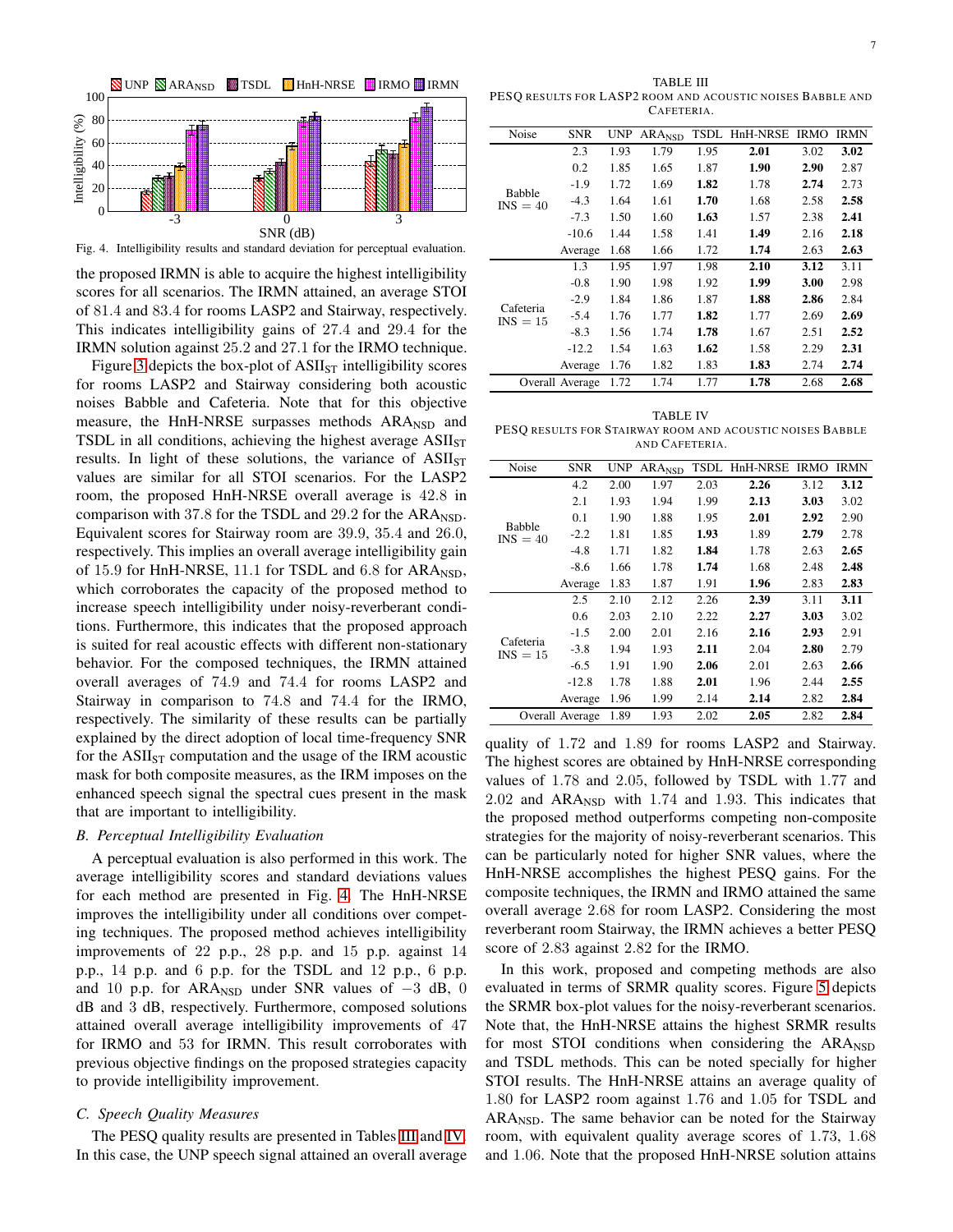

Fig. 4. Intelligibility results and standard deviation for perceptual evaluation.

<span id="page-6-0"></span>the proposed IRMN is able to acquire the highest intelligibility scores for all scenarios. The IRMN attained, an average STOI of 81.4 and 83.4 for rooms LASP2 and Stairway, respectively. This indicates intelligibility gains of 27.4 and 29.4 for the IRMN solution against 25.2 and 27.1 for the IRMO technique.

Figure [3](#page-5-2) depicts the box-plot of  $ASII<sub>ST</sub>$  intelligibility scores for rooms LASP2 and Stairway considering both acoustic noises Babble and Cafeteria. Note that for this objective measure, the HnH-NRSE surpasses methods  $ARA<sub>NSD</sub>$  and TSDL in all conditions, achieving the highest average  $ASII<sub>ST</sub>$ results. In light of these solutions, the variance of  $ASII<sub>ST</sub>$ values are similar for all STOI scenarios. For the LASP2 room, the proposed HnH-NRSE overall average is 42.8 in comparison with 37.8 for the TSDL and  $29.2$  for the ARA<sub>NSD</sub>. Equivalent scores for Stairway room are 39.9, 35.4 and 26.0, respectively. This implies an overall average intelligibility gain of 15.9 for HnH-NRSE, 11.1 for TSDL and  $6.8$  for ARA<sub>NSD</sub>, which corroborates the capacity of the proposed method to increase speech intelligibility under noisy-reverberant conditions. Furthermore, this indicates that the proposed approach is suited for real acoustic effects with different non-stationary behavior. For the composed techniques, the IRMN attained overall averages of 74.9 and 74.4 for rooms LASP2 and Stairway in comparison to 74.8 and 74.4 for the IRMO, respectively. The similarity of these results can be partially explained by the direct adoption of local time-frequency SNR for the  $ASII<sub>ST</sub>$  computation and the usage of the IRM acoustic mask for both composite measures, as the IRM imposes on the enhanced speech signal the spectral cues present in the mask that are important to intelligibility.

#### *B. Perceptual Intelligibility Evaluation*

A perceptual evaluation is also performed in this work. The average intelligibility scores and standard deviations values for each method are presented in Fig. [4.](#page-6-0) The HnH-NRSE improves the intelligibility under all conditions over competing techniques. The proposed method achieves intelligibility improvements of 22 p.p., 28 p.p. and 15 p.p. against 14 p.p., 14 p.p. and 6 p.p. for the TSDL and 12 p.p., 6 p.p. and 10 p.p. for ARA<sub>NSD</sub> under SNR values of  $-3$  dB, 0 dB and 3 dB, respectively. Furthermore, composed solutions attained overall average intelligibility improvements of 47 for IRMO and 53 for IRMN. This result corroborates with previous objective findings on the proposed strategies capacity to provide intelligibility improvement.

#### *C. Speech Quality Measures*

The PESQ quality results are presented in Tables [III](#page-6-1) and [IV.](#page-6-2) In this case, the UNP speech signal attained an overall average

<span id="page-6-1"></span>TABLE III PESQ RESULTS FOR LASP2 ROOM AND ACOUSTIC NOISES BABBLE AND CAFETERIA.

| Noise                       | <b>SNR</b>      | <b>UNP</b> | ARA <sub>NSD</sub> | <b>TSDL</b> | HnH-NRSE | <b>IRMO</b> | <b>IRMN</b> |
|-----------------------------|-----------------|------------|--------------------|-------------|----------|-------------|-------------|
|                             | 2.3             | 1.93       | 1.79               | 1.95        | 2.01     | 3.02        | 3.02        |
|                             | 0.2             | 1.85       | 1.65               | 1.87        | 1.90     | 2.90        | 2.87        |
|                             | $-1.9$          | 1.72       | 1.69               | 1.82        | 1.78     | 2.74        | 2.73        |
| <b>Babble</b><br>$INS = 40$ | $-4.3$          | 1.64       | 1.61               | 1.70        | 1.68     | 2.58        | 2.58        |
|                             | $-7.3$          | 1.50       | 1.60               | 1.63        | 1.57     | 2.38        | 2.41        |
|                             | $-10.6$         | 1.44       | 1.58               | 1.41        | 1.49     | 2.16        | 2.18        |
|                             | Average         | 1.68       | 1.66               | 1.72        | 1.74     | 2.63        | 2.63        |
|                             | 1.3             | 1.95       | 1.97               | 1.98        | 2.10     | 3.12        | 3.11        |
|                             | $-0.8$          | 1.90       | 1.98               | 1.92        | 1.99     | 3.00        | 2.98        |
| Cafeteria<br>$INS = 15$     | $-2.9$          | 1.84       | 1.86               | 1.87        | 1.88     | 2.86        | 2.84        |
|                             | $-5.4$          | 1.76       | 1.77               | 1.82        | 1.77     | 2.69        | 2.69        |
|                             | $-8.3$          | 1.56       | 1.74               | 1.78        | 1.67     | 2.51        | 2.52        |
|                             | $-12.2$         | 1.54       | 1.63               | 1.62        | 1.58     | 2.29        | 2.31        |
|                             | Average         | 1.76       | 1.82               | 1.83        | 1.83     | 2.74        | 2.74        |
|                             | Overall Average | 1.72       | 1.74               | 1.77        | 1.78     | 2.68        | 2.68        |
|                             |                 |            |                    |             |          |             |             |

<span id="page-6-2"></span>TABLE IV PESQ RESULTS FOR STAIRWAY ROOM AND ACOUSTIC NOISES BABBLE AND CAFETERIA.

| Noise                   | <b>SNR</b>      | <b>UNP</b> | ARANSD | TSDL | HnH-NRSE | <b>IRMO</b> | IRMN |
|-------------------------|-----------------|------------|--------|------|----------|-------------|------|
|                         | 4.2             | 2.00       | 1.97   | 2.03 | 2.26     | 3.12        | 3.12 |
|                         | 2.1             | 1.93       | 1.94   | 1.99 | 2.13     | 3.03        | 3.02 |
|                         | 0.1             | 1.90       | 1.88   | 1.95 | 2.01     | 2.92        | 2.90 |
| Babble<br>$INS = 40$    | $-2.2$          | 1.81       | 1.85   | 1.93 | 1.89     | 2.79        | 2.78 |
|                         | $-4.8$          | 1.71       | 1.82   | 1.84 | 1.78     | 2.63        | 2.65 |
|                         | $-8.6$          | 1.66       | 1.78   | 1.74 | 1.68     | 2.48        | 2.48 |
|                         | Average         | 1.83       | 1.87   | 1.91 | 1.96     | 2.83        | 2.83 |
|                         | 2.5             | 2.10       | 2.12   | 2.26 | 2.39     | 3.11        | 3.11 |
|                         | 0.6             | 2.03       | 2.10   | 2.22 | 2.27     | 3.03        | 3.02 |
|                         | $-1.5$          | 2.00       | 2.01   | 2.16 | 2.16     | 2.93        | 2.91 |
| Cafeteria<br>$INS = 15$ | $-3.8$          | 1.94       | 1.93   | 2.11 | 2.04     | 2.80        | 2.79 |
|                         | $-6.5$          | 1.91       | 1.90   | 2.06 | 2.01     | 2.63        | 2.66 |
|                         | $-12.8$         | 1.78       | 1.88   | 2.01 | 1.96     | 2.44        | 2.55 |
|                         | Average         | 1.96       | 1.99   | 2.14 | 2.14     | 2.82        | 2.84 |
|                         | Overall Average | 1.89       | 1.93   | 2.02 | 2.05     | 2.82        | 2.84 |

quality of 1.72 and 1.89 for rooms LASP2 and Stairway. The highest scores are obtained by HnH-NRSE corresponding values of 1.78 and 2.05, followed by TSDL with 1.77 and 2.02 and ARANSD with 1.74 and 1.93. This indicates that the proposed method outperforms competing non-composite strategies for the majority of noisy-reverberant scenarios. This can be particularly noted for higher SNR values, where the HnH-NRSE accomplishes the highest PESQ gains. For the composite techniques, the IRMN and IRMO attained the same overall average 2.68 for room LASP2. Considering the most reverberant room Stairway, the IRMN achieves a better PESQ score of 2.83 against 2.82 for the IRMO.

In this work, proposed and competing methods are also evaluated in terms of SRMR quality scores. Figure [5](#page-7-0) depicts the SRMR box-plot values for the noisy-reverberant scenarios. Note that, the HnH-NRSE attains the highest SRMR results for most STOI conditions when considering the ARA<sub>NSD</sub> and TSDL methods. This can be noted specially for higher STOI results. The HnH-NRSE attains an average quality of 1.80 for LASP2 room against 1.76 and 1.05 for TSDL and ARA<sub>NSD</sub>. The same behavior can be noted for the Stairway room, with equivalent quality average scores of 1.73, 1.68 and 1.06. Note that the proposed HnH-NRSE solution attains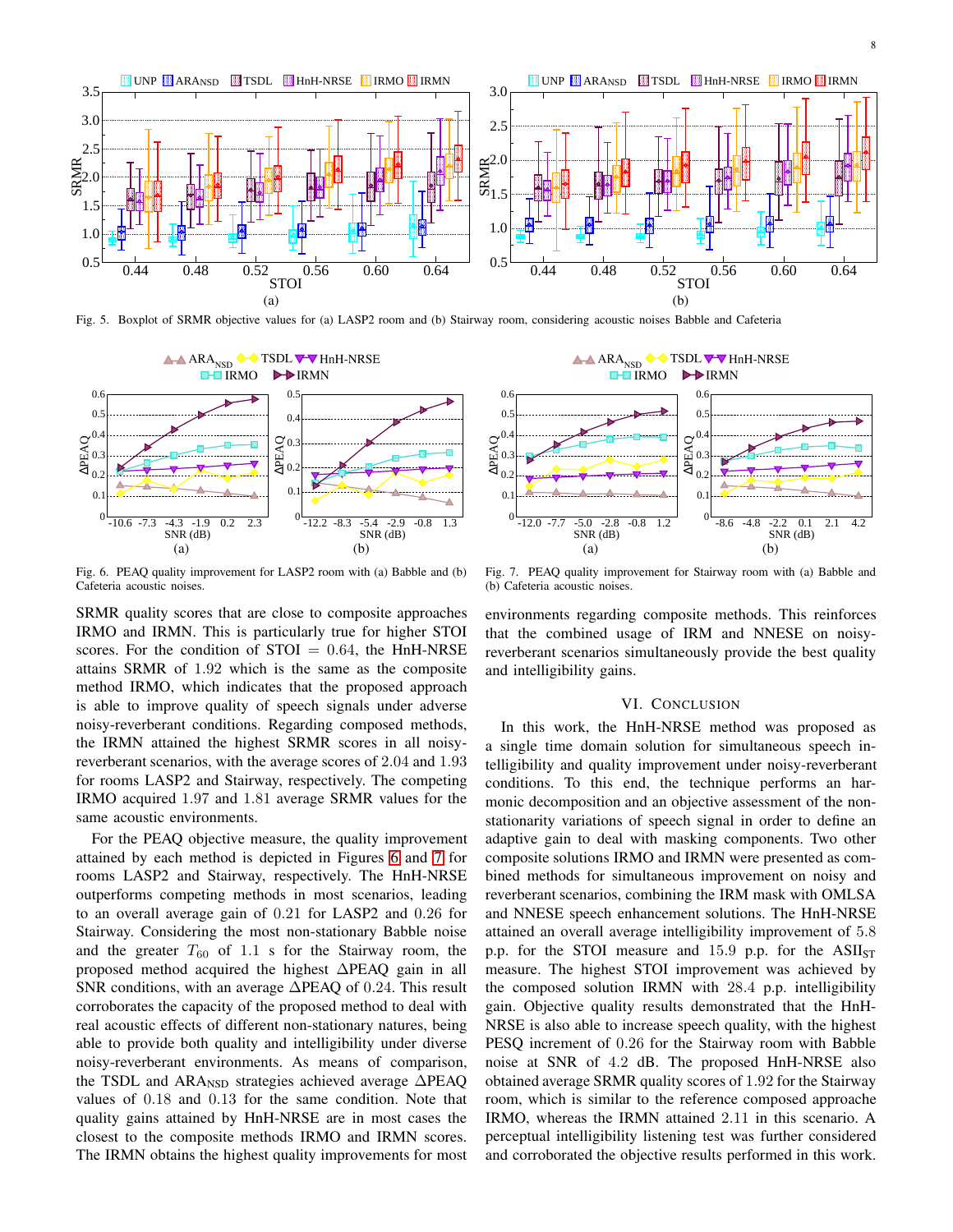

<span id="page-7-0"></span>Fig. 5. Boxplot of SRMR objective values for (a) LASP2 room and (b) Stairway room, considering acoustic noises Babble and Cafeteria



<span id="page-7-1"></span>Fig. 6. PEAQ quality improvement for LASP2 room with (a) Babble and (b) Cafeteria acoustic noises.

SRMR quality scores that are close to composite approaches IRMO and IRMN. This is particularly true for higher STOI scores. For the condition of  $STOI = 0.64$ , the HnH-NRSE attains SRMR of 1.92 which is the same as the composite method IRMO, which indicates that the proposed approach is able to improve quality of speech signals under adverse noisy-reverberant conditions. Regarding composed methods, the IRMN attained the highest SRMR scores in all noisyreverberant scenarios, with the average scores of 2.04 and 1.93 for rooms LASP2 and Stairway, respectively. The competing IRMO acquired 1.97 and 1.81 average SRMR values for the same acoustic environments.

For the PEAQ objective measure, the quality improvement attained by each method is depicted in Figures [6](#page-7-1) and [7](#page-7-2) for rooms LASP2 and Stairway, respectively. The HnH-NRSE outperforms competing methods in most scenarios, leading to an overall average gain of 0.21 for LASP2 and 0.26 for Stairway. Considering the most non-stationary Babble noise and the greater  $T_{60}$  of 1.1 s for the Stairway room, the proposed method acquired the highest ∆PEAQ gain in all SNR conditions, with an average ∆PEAQ of 0.24. This result corroborates the capacity of the proposed method to deal with real acoustic effects of different non-stationary natures, being able to provide both quality and intelligibility under diverse noisy-reverberant environments. As means of comparison, the TSDL and ARA<sub>NSD</sub> strategies achieved average ∆PEAQ values of 0.18 and 0.13 for the same condition. Note that quality gains attained by HnH-NRSE are in most cases the closest to the composite methods IRMO and IRMN scores. The IRMN obtains the highest quality improvements for most



<span id="page-7-2"></span>Fig. 7. PEAQ quality improvement for Stairway room with (a) Babble and (b) Cafeteria acoustic noises.

environments regarding composite methods. This reinforces that the combined usage of IRM and NNESE on noisyreverberant scenarios simultaneously provide the best quality and intelligibility gains.

# VI. CONCLUSION

In this work, the HnH-NRSE method was proposed as a single time domain solution for simultaneous speech intelligibility and quality improvement under noisy-reverberant conditions. To this end, the technique performs an harmonic decomposition and an objective assessment of the nonstationarity variations of speech signal in order to define an adaptive gain to deal with masking components. Two other composite solutions IRMO and IRMN were presented as combined methods for simultaneous improvement on noisy and reverberant scenarios, combining the IRM mask with OMLSA and NNESE speech enhancement solutions. The HnH-NRSE attained an overall average intelligibility improvement of 5.8 p.p. for the STOI measure and 15.9 p.p. for the  $ASII_{ST}$ measure. The highest STOI improvement was achieved by the composed solution IRMN with 28.4 p.p. intelligibility gain. Objective quality results demonstrated that the HnH-NRSE is also able to increase speech quality, with the highest PESQ increment of 0.26 for the Stairway room with Babble noise at SNR of 4.2 dB. The proposed HnH-NRSE also obtained average SRMR quality scores of 1.92 for the Stairway room, which is similar to the reference composed approache IRMO, whereas the IRMN attained 2.11 in this scenario. A perceptual intelligibility listening test was further considered and corroborated the objective results performed in this work.